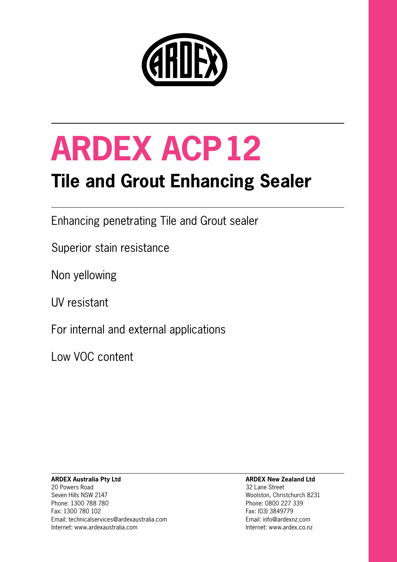

# **ARDEX ACP12**

### **Tile and Grout Enhancing Sealer**

Enhancing penetrating Tile and Grout sealer

Superior stain resistance

Non yellowing

UV resistant

For internal and external applications

Low VOC content

#### **ARDEX Australia Pty Ltd** 20 Powers Road Seven Hills NSW 2147 Phone: 1300 788 780 Fax: 1300 780 102 Email: technicalservices@ardexaustralia.com Internet: www.ardexaustralia.com

#### **ARDEX New Zealand Ltd**

32 Lane Street Woolston, Christchurch 8231 Phone: 0800 227 339 Fax: (03) 3849779 Email: info@ardexnz.com Internet: www.ardex.co.nz